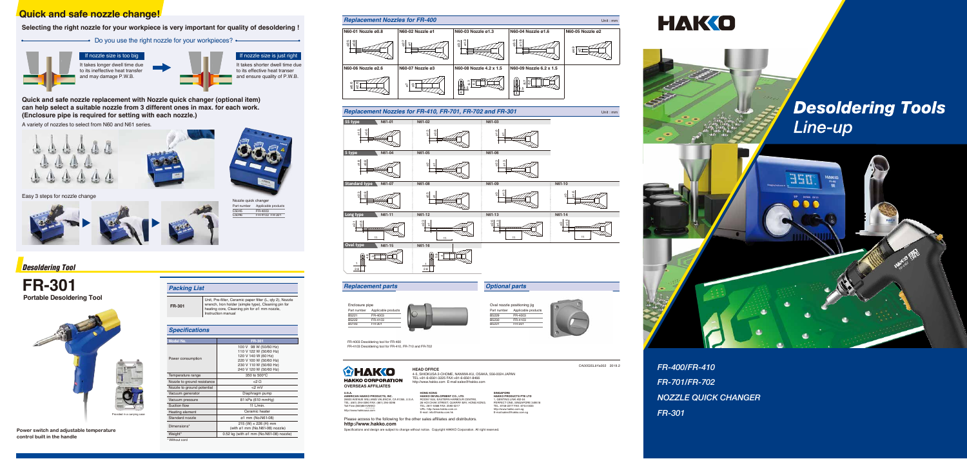*FR-400/FR-410 FR-701/FR-702 NOZZLE QUICK CHANGER FR-301*

**Power switch and adjustable temperature control built in the handle**

### **Specifications**

| Model No.                   | FR-301                                                                                                                                               |
|-----------------------------|------------------------------------------------------------------------------------------------------------------------------------------------------|
| Power consumption           | 100 V 98 W (50/60 Hz)<br>110 V 122 W (50/60 Hz)<br>120 V 140 W (60 Hz)<br>220 V 100 W (50/60 Hz)<br>230 V 110 W (50/60 Hz)<br>240 V 120 W (50/60 Hz) |
| Temperature range           | 350 to 500°C                                                                                                                                         |
| Nozzle to ground resistance | <2 O                                                                                                                                                 |
| Nozzle to ground potential  | $<$ 2 mV                                                                                                                                             |
| Vacuum generator            | Diaphragm pump                                                                                                                                       |
| Vacuum pressure             | 81 kPa (610 mmHg)                                                                                                                                    |
| Suction flow                | 11 $L/min$ .                                                                                                                                         |
| Heating element             | Ceramic heater                                                                                                                                       |
| Standard nozzle             | ø1 mm (No.N61-08)                                                                                                                                    |
| Dimensions*                 | $215$ (W) $\times$ 226 (H) mm<br>(with ø1 mm (No.N61-08) nozzle)                                                                                     |
| Weight*                     | $0.52$ kg (with $\varnothing$ 1 mm (No.N61-08) nozzle)                                                                                               |

#### Without cord

It takes shorter dwell time due to its effective heat transer and ensure quality of P.W.B. f nozzle size is just right

## *Desoldering Tool*

**FR-301 Portable Desoldering Tool** 

# **Quick and safe nozzle change!**

**Selecting the right nozzle for your workpiece is very important for quality of desoldering !** 

• Do you use the right nozzle for your workpieces? •



# Easy 3 steps for nozzle change



### **Packing List**

**FR-301** Unit, Pre-filter, Ceramic paper filter (L, qty 2), Nozzle wrench, Iron holder (simple type), Cleaning pin for heating core, Cleaning pin for ø1 mm nozzle, Instruction manual

It takes longer dwell time due to its ineffective heat transfer and may damage P.W.B. If nozzle size is too big





## **Replacement parts Optional parts**



Nozzle quick changer Part number Applicable products C5045 C5046 FR-4003 FR-4103 FR-301



CA00535LbYa002 2019.2



#### **HEAD OFFICE**

4-5, SHIOKUSA 2-CHOME, NANIWA-KU, OSAKA, 556-0024 JAPAN TEL:+81-6-6561-3225 FAX:+81-6-6561-8466 http://www.hakko.com E-mail:sales@hakko.com

**U.S.A. AMERICAN HAKKO PRODUCTS, INC.** 28920 AVENUE WILLIAMS VALENCIA, CA 91355, U.S.A. TEL: (661) 294-0090 FAX: (661) 294-0096 Toll Free (800)88-HAKK 4 2 5 5 6 http://www.hakkousa.com

**HONG KONG HAKKO DEVELOPMENT CO., LTD.** ROOM 1504, EASTERN HARBOUR CENTRE, ...<br>28 HOI CHAK STREET, QUARRY BAY, HONG KONG. TEL: 2811-5588 FAX: 2590-0217 URL: http://www.hakko.com.cn E-mail: info@hakko.com.hk

**SINGAPORE HAKKO PRODUCTS PTE LTD** 1, GENTING LINK #02-04 PERFECT ONE, SINGAPORE 349518 TEL: 6748-2277 FAX: 6744-0033 http://www.hakko.com.sg E-mail:sales@hakko.com.sg





# **Desoldering Tools** Line-up



**http://www.hakko.com** Please access to the following for the other sales affiliates and distributors.

Specifications and design are subject to change without notice. Copyright HAKKO Corporation. All right reserved.







FR-4003 Desoldering tool for FR-400 FR-4103 Desoldering tool for FR-410, FR-710 and FR-702

Enclosure pipe Part number Applicable products B5221 B5222 B5193 FR-400 FR-4103 FR-301



**Quick and safe nozzle replacement with Nozzle quick changer (optional item) can help select a suitable nozzle from 3 different ones in max. for each work. (Enclosure pipe is required for setting with each nozzle.)**

A variety of nozzles to select from N60 and N61 series.